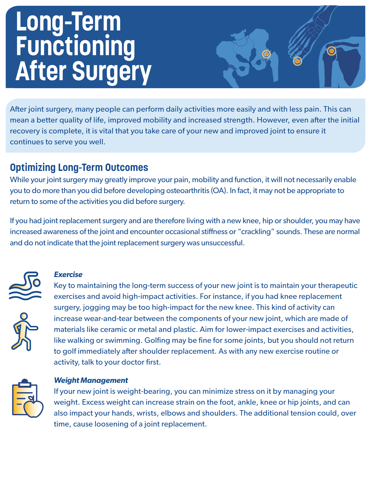# **Long-Term Functioning After Surgery**

After joint surgery, many people can perform daily activities more easily and with less pain. This can mean a better quality of life, improved mobility and increased strength. However, even after the initial recovery is complete, it is vital that you take care of your new and improved joint to ensure it continues to serve you well.

# **Optimizing Long-Term Outcomes**

While your joint surgery may greatly improve your pain, mobility and function, it will not necessarily enable you to do more than you did before developing osteoarthritis (OA). In fact, it may not be appropriate to return to some of the activities you did before surgery.

If you had joint replacement surgery and are therefore living with a new knee, hip or shoulder, you may have increased awareness of the joint and encounter occasional stiffness or "crackling" sounds. These are normal and do not indicate that the joint replacement surgery was unsuccessful.



## *Exercise*

Key to maintaining the long-term success of your new joint is to maintain your therapeutic exercises and avoid high-impact activities. For instance, if you had knee replacement surgery, jogging may be too high-impact for the new knee. This kind of activity can increase wear-and-tear between the components of your new joint, which are made of materials like ceramic or metal and plastic. Aim for lower-impact exercises and activities, like walking or swimming. Golfing may be fine for some joints, but you should not return to golf immediately after shoulder replacement. As with any new exercise routine or activity, talk to your doctor first.



## *Weight Management*

If your new joint is weight-bearing, you can minimize stress on it by managing your weight. Excess weight can increase strain on the foot, ankle, knee or hip joints, and can also impact your hands, wrists, elbows and shoulders. The additional tension could, over time, cause loosening of a joint replacement.